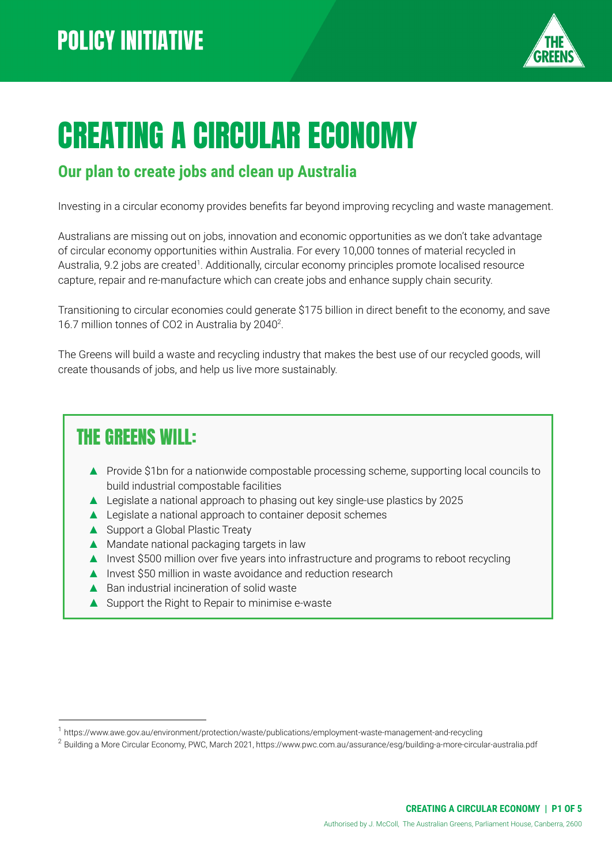

# CREATING A CIRCULAR ECONOMY

#### **Our plan to create jobs and clean up Australia**

Investing in a circular economy provides benefits far beyond improving recycling and waste management.

Australians are missing out on jobs, innovation and economic opportunities as we don't take advantage of circular economy opportunities within Australia. For every 10,000 tonnes of material recycled in Australia, 9.2 jobs are created<sup>1</sup>. Additionally, circular economy principles promote localised resource capture, repair and re-manufacture which can create jobs and enhance supply chain security.

Transitioning to circular economies could generate \$175 billion in direct benefit to the economy, and save 16.7 million tonnes of CO2 in Australia by  $2040^2$ .

The Greens will build a waste and recycling industry that makes the best use of our recycled goods, will create thousands of jobs, and help us live more sustainably.

### THE GREENS WILL:

- ▲ Provide \$1bn for a nationwide compostable processing scheme, supporting local councils to build industrial compostable facilities
- ▲ Legislate a national approach to phasing out key single-use plastics by 2025
- ▲ Legislate a national approach to container deposit schemes
- ▲ Support a Global Plastic Treaty
- ▲ Mandate national packaging targets in law
- ▲ Invest \$500 million over five years into infrastructure and programs to reboot recycling
- ▲ Invest \$50 million in waste avoidance and reduction research
- ▲ Ban industrial incineration of solid waste
- ▲ Support the Right to Repair to minimise e-waste

<sup>1</sup> https://www.awe.gov.au/environment/protection/waste/publications/employment-waste-management-and-recycling

<sup>&</sup>lt;sup>2</sup> Building a More Circular Economy, PWC, March 2021, https://www.pwc.com.au/assurance/esg/building-a-more-circular-australia.pdf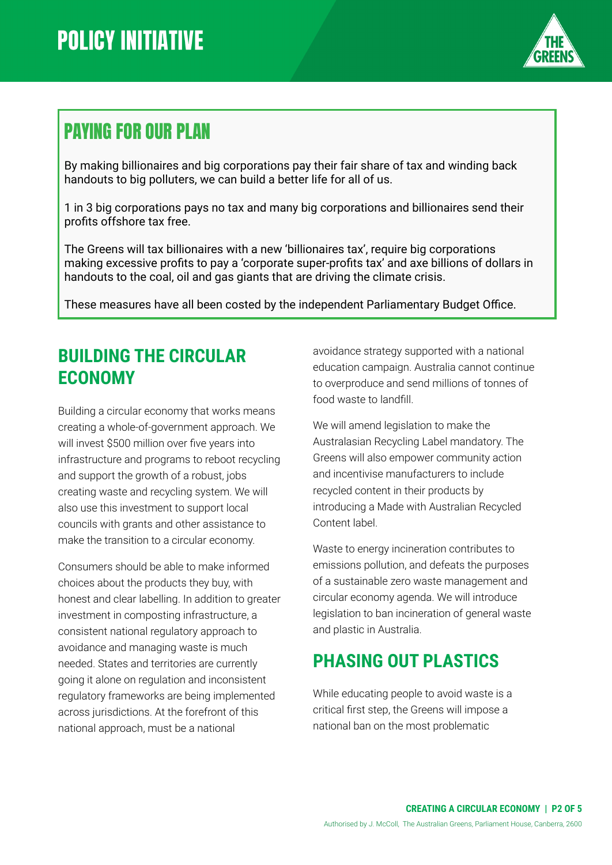

# PAYING FOR OUR PLAN

By making billionaires and big corporations pay their fair share of tax and winding back handouts to big polluters, we can build a better life for all of us.

1 in 3 big corporations pays no tax and many big corporations and billionaires send their profits offshore tax free.

The Greens will tax billionaires with a new 'billionaires tax', require big corporations making excessive profits to pay a 'corporate super-profits tax' and axe billions of dollars in handouts to the coal, oil and gas giants that are driving the climate crisis.

These measures have all been costed by the independent Parliamentary Budget Office.

#### **BUILDING THE CIRCULAR ECONOMY**

Building a circular economy that works means creating a whole-of-government approach. We will invest \$500 million over five years into infrastructure and programs to reboot recycling and support the growth of a robust, jobs creating waste and recycling system. We will also use this investment to support local councils with grants and other assistance to make the transition to a circular economy.

Consumers should be able to make informed choices about the products they buy, with honest and clear labelling. In addition to greater investment in composting infrastructure, a consistent national regulatory approach to avoidance and managing waste is much needed. States and territories are currently going it alone on regulation and inconsistent regulatory frameworks are being implemented across jurisdictions. At the forefront of this national approach, must be a national

avoidance strategy supported with a national education campaign. Australia cannot continue to overproduce and send millions of tonnes of food waste to landfill.

We will amend legislation to make the Australasian Recycling Label mandatory. The Greens will also empower community action and incentivise manufacturers to include recycled content in their products by introducing a Made with Australian Recycled Content label.

Waste to energy incineration contributes to emissions pollution, and defeats the purposes of a sustainable zero waste management and circular economy agenda. We will introduce legislation to ban incineration of general waste and plastic in Australia.

## **PHASING OUT PLASTICS**

While educating people to avoid waste is a critical first step, the Greens will impose a national ban on the most problematic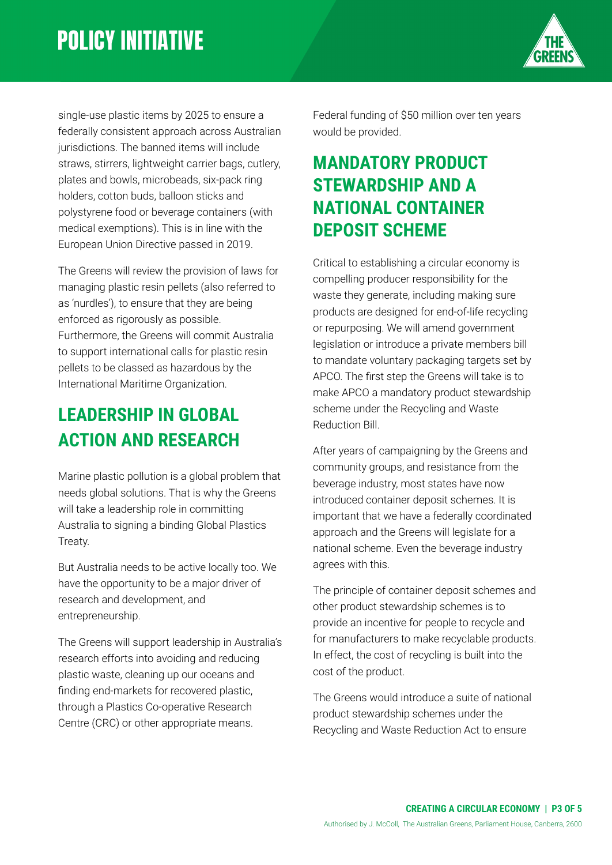

single-use plastic items by 2025 to ensure a federally consistent approach across Australian jurisdictions. The banned items will include straws, stirrers, lightweight carrier bags, cutlery, plates and bowls, microbeads, six-pack ring holders, cotton buds, balloon sticks and polystyrene food or beverage containers (with medical exemptions). This is in line with the European Union Directive passed in 2019.

The Greens will review the provision of laws for managing plastic resin pellets (also referred to as 'nurdles'), to ensure that they are being enforced as rigorously as possible. Furthermore, the Greens will commit Australia to support international calls for plastic resin pellets to be classed as hazardous by the International Maritime Organization.

### **LEADERSHIP IN GLOBAL ACTION AND RESEARCH**

Marine plastic pollution is a global problem that needs global solutions. That is why the Greens will take a leadership role in committing Australia to signing a binding Global Plastics Treaty.

But Australia needs to be active locally too. We have the opportunity to be a major driver of research and development, and entrepreneurship.

The Greens will support leadership in Australia's research efforts into avoiding and reducing plastic waste, cleaning up our oceans and finding end-markets for recovered plastic, through a Plastics Co-operative Research Centre (CRC) or other appropriate means.

Federal funding of \$50 million over ten years would be provided.

#### **MANDATORY PRODUCT STEWARDSHIP AND A NATIONAL CONTAINER DEPOSIT SCHEME**

Critical to establishing a circular economy is compelling producer responsibility for the waste they generate, including making sure products are designed for end-of-life recycling or repurposing. We will amend government legislation or introduce a private members bill to mandate voluntary packaging targets set by APCO. The first step the Greens will take is to make APCO a mandatory product stewardship scheme under the Recycling and Waste Reduction Bill.

After years of campaigning by the Greens and community groups, and resistance from the beverage industry, most states have now introduced container deposit schemes. It is important that we have a federally coordinated approach and the Greens will legislate for a national scheme. Even the beverage industry agrees with this.

The principle of container deposit schemes and other product stewardship schemes is to provide an incentive for people to recycle and for manufacturers to make recyclable products. In effect, the cost of recycling is built into the cost of the product.

The Greens would introduce a suite of national product stewardship schemes under the Recycling and Waste Reduction Act to ensure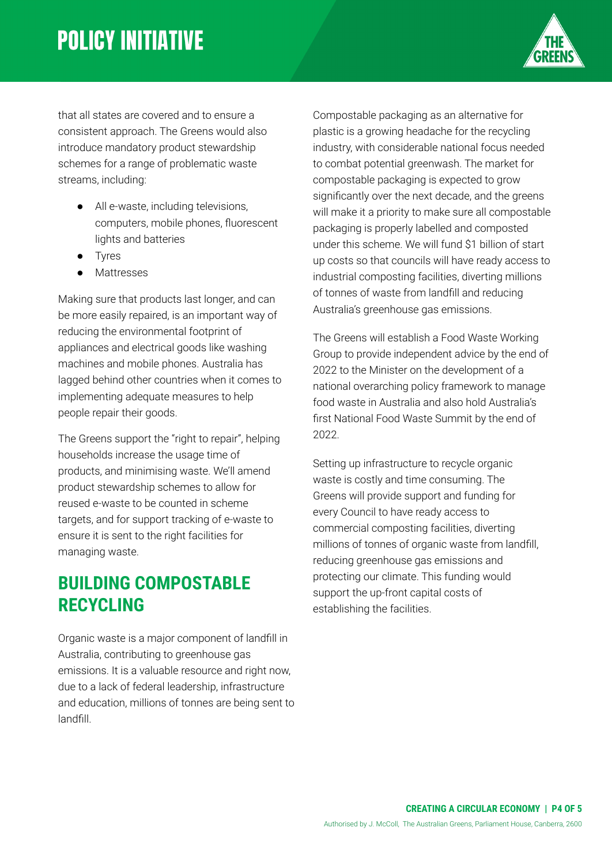# **POLICY INITIATIVE**



that all states are covered and to ensure a consistent approach. The Greens would also introduce mandatory product stewardship schemes for a range of problematic waste streams, including:

- All e-waste, including televisions, computers, mobile phones, fluorescent lights and batteries
- Tyres
- Mattresses

Making sure that products last longer, and can be more easily repaired, is an important way of reducing the environmental footprint of appliances and electrical goods like washing machines and mobile phones. Australia has lagged behind other countries when it comes to implementing adequate measures to help people repair their goods.

The Greens support the "right to repair", helping households increase the usage time of products, and minimising waste. We'll amend product stewardship schemes to allow for reused e-waste to be counted in scheme targets, and for support tracking of e-waste to ensure it is sent to the right facilities for managing waste.

#### **BUILDING COMPOSTABLE RECYCLING**

Organic waste is a major component of landfill in Australia, contributing to greenhouse gas emissions. It is a valuable resource and right now, due to a lack of federal leadership, infrastructure and education, millions of tonnes are being sent to landfill.

Compostable packaging as an alternative for plastic is a growing headache for the recycling industry, with considerable national focus needed to combat potential greenwash. The market for compostable packaging is expected to grow significantly over the next decade, and the greens will make it a priority to make sure all compostable packaging is properly labelled and composted under this scheme. We will fund \$1 billion of start up costs so that councils will have ready access to industrial composting facilities, diverting millions of tonnes of waste from landfill and reducing Australia's greenhouse gas emissions.

The Greens will establish a Food Waste Working Group to provide independent advice by the end of 2022 to the Minister on the development of a national overarching policy framework to manage food waste in Australia and also hold Australia's first National Food Waste Summit by the end of 2022.

Setting up infrastructure to recycle organic waste is costly and time consuming. The Greens will provide support and funding for every Council to have ready access to commercial composting facilities, diverting millions of tonnes of organic waste from landfill, reducing greenhouse gas emissions and protecting our climate. This funding would support the up-front capital costs of establishing the facilities.